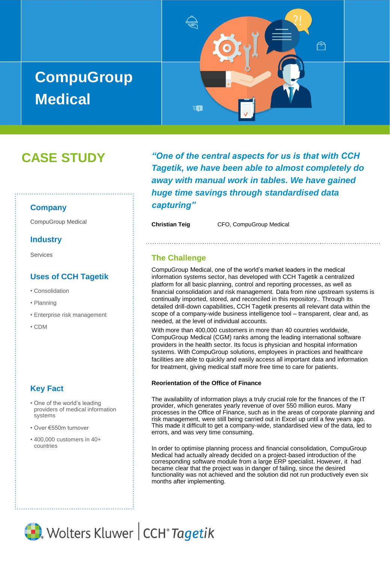# **CompuGroup Medical**



## **CASE STUDY**

## **Company**

## **Industry**

Services

## **Uses of CCH Tagetik**

- Consolidation
- Planning
- Enterprise risk management
- CDM

## **Key Fact**

- One of the world's leading providers of medical information systems
- Over €550m turnover
- 400,000 customers in 40+ countries

*"One of the central aspects for us is that with CCH Tagetik, we have been able to almost completely do away with manual work in tables. We have gained huge time savings through standardised data capturing"*

CompuGroup Medical **Christian Teig** CFO, CompuGroup Medical

## **The Challenge**

CompuGroup Medical, one of the world's market leaders in the medical information systems sector, has developed with CCH Tagetik a centralized platform for all basic planning, control and reporting processes, as well as financial consolidation and risk management. Data from nine upstream systems is continually imported, stored, and reconciled in this repository.. Through its detailed drill-down capabilities, CCH Tagetik presents all relevant data within the scope of a company-wide business intelligence tool – transparent, clear and, as needed, at the level of individual accounts.

With more than 400,000 customers in more than 40 countries worldwide, CompuGroup Medical (CGM) ranks among the leading international software providers in the health sector. Its focus is physician and hospital information systems. With CompuGroup solutions, employees in practices and healthcare facilities are able to quickly and easily access all important data and information for treatment, giving medical staff more free time to care for patients.

#### **Reorientation of the Office of Finance**

The availability of information plays a truly crucial role for the finances of the IT provider, which generates yearly revenue of over 550 million euros. Many processes in the Office of Finance, such as in the areas of corporate planning and risk management, were still being carried out in Excel up until a few years ago. This made it difficult to get a company-wide, standardised view of the data, led to errors, and was very time consuming.

In order to optimise planning process and financial consolidation, CompuGroup Medical had actually already decided on a project-based introduction of the corresponding software module from a large ERP specialist. However, it had became clear that the project was in danger of failing, since the desired functionality was not achieved and the solution did not run productively even six months after implementing.

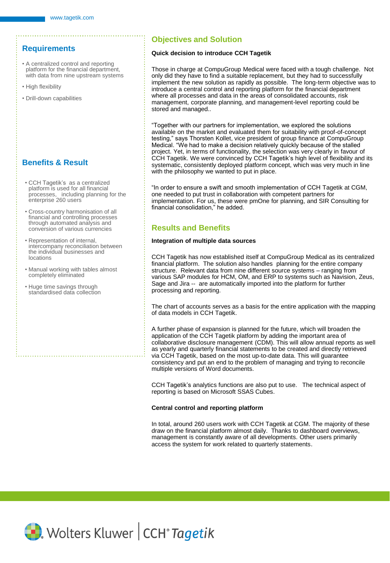## **Requirements**

- A centralized control and reporting platform for the financial department, with data from nine upstream systems
- High flexibility
- Drill-down capabilities

## **Benefits & Result**

- CCH Tagetik's as a centralized platform is used for all financial processes, including planning for the enterprise 260 users
- Cross-country harmonisation of all financial and controlling processes through automated analysis and conversion of various currencies
- Representation of internal, intercompany reconciliation between the individual businesses and locations
- Manual working with tables almost completely eliminated
- Huge time savings through standardised data collection

## **Objectives and Solution**

#### **Quick decision to introduce CCH Tagetik**

Those in charge at CompuGroup Medical were faced with a tough challenge. Not only did they have to find a suitable replacement, but they had to successfully implement the new solution as rapidly as possible. The long-term objective was to introduce a central control and reporting platform for the financial department where all processes and data in the areas of consolidated accounts, risk management, corporate planning, and management-level reporting could be stored and managed..

"Together with our partners for implementation, we explored the solutions available on the market and evaluated them for suitability with proof-of-concept testing," says Thorsten Kollet, vice president of group finance at CompuGroup Medical. "We had to make a decision relatively quickly because of the stalled project. Yet, in terms of functionality, the selection was very clearly in favour of CCH Tagetik. We were convinced by CCH Tagetik's high level of flexibility and its systematic, consistently deployed platform concept, which was very much in line with the philosophy we wanted to put in place.

"In order to ensure a swift and smooth implementation of CCH Tagetik at CGM, one needed to put trust in collaboration with competent partners for implementation. For us, these were pmOne for planning, and SIR Consulting for financial consolidation," he added.

## **Results and Benefits**

#### **Integration of multiple data sources**

CCH Tagetik has now established itself at CompuGroup Medical as its centralized financial platform. The solution also handles planning for the entire company structure. Relevant data from nine different source systems – ranging from various SAP modules for HCM, OM, and ERP to systems such as Navision, Zeus, Sage and Jira -- are automatically imported into the platform for further processing and reporting.

The chart of accounts serves as a basis for the entire application with the mapping of data models in CCH Tagetik.

A further phase of expansion is planned for the future, which will broaden the application of the CCH Tagetik platform by adding the important area of collaborative disclosure management (CDM). This will allow annual reports as well as yearly and quarterly financial statements to be created and directly retrieved via CCH Tagetik, based on the most up-to-date data. This will guarantee consistency and put an end to the problem of managing and trying to reconcile multiple versions of Word documents.

CCH Tagetik's analytics functions are also put to use. The technical aspect of reporting is based on Microsoft SSAS Cubes.

#### **Central control and reporting platform**

In total, around 260 users work with CCH Tagetik at CGM. The majority of these draw on the financial platform almost daily. Thanks to dashboard overviews, management is constantly aware of all developments. Other users primarily access the system for work related to quarterly statements.